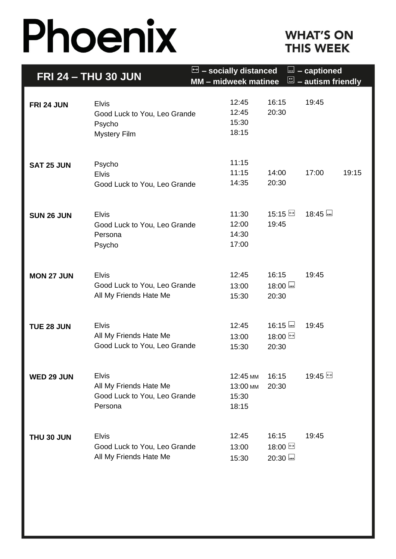# Phoenix

## **WHAT'S ON THIS WEEK**

| <b>FRI 24 - THU 30 JUN</b> |                                                                                   | - socially distanced<br><u>l.</u> - captioned<br>$\ominus$<br>$\Xi$ – autism friendly<br>MM - midweek matinee |                                        |                                           |         |       |
|----------------------------|-----------------------------------------------------------------------------------|---------------------------------------------------------------------------------------------------------------|----------------------------------------|-------------------------------------------|---------|-------|
| FRI 24 JUN                 | <b>Elvis</b><br>Good Luck to You, Leo Grande<br>Psycho<br><b>Mystery Film</b>     |                                                                                                               | 12:45<br>12:45<br>15:30<br>18:15       | 16:15<br>20:30                            | 19:45   |       |
| <b>SAT 25 JUN</b>          | Psycho<br><b>Elvis</b><br>Good Luck to You, Leo Grande                            |                                                                                                               | 11:15<br>11:15<br>14:35                | 14:00<br>20:30                            | 17:00   | 19:15 |
| <b>SUN 26 JUN</b>          | <b>Elvis</b><br>Good Luck to You, Leo Grande<br>Persona<br>Psycho                 |                                                                                                               | 11:30<br>12:00<br>14:30<br>17:00       | $15:15 \square$<br>19:45                  | $18:45$ |       |
| <b>MON 27 JUN</b>          | <b>Elvis</b><br>Good Luck to You, Leo Grande<br>All My Friends Hate Me            |                                                                                                               | 12:45<br>13:00<br>15:30                | 16:15<br>$18:00$<br>20:30                 | 19:45   |       |
| <b>TUE 28 JUN</b>          | <b>Elvis</b><br>All My Friends Hate Me<br>Good Luck to You, Leo Grande            |                                                                                                               | 12:45<br>13:00<br>15:30                | $16:15$<br>18:00 ⊡<br>20:30               | 19:45   |       |
| WED 29 JUN                 | <b>Elvis</b><br>All My Friends Hate Me<br>Good Luck to You, Leo Grande<br>Persona |                                                                                                               | 12:45 MM<br>13:00 MM<br>15:30<br>18:15 | 16:15<br>20:30                            | 19:45 ط |       |
| THU 30 JUN                 | <b>Elvis</b><br>Good Luck to You, Leo Grande<br>All My Friends Hate Me            |                                                                                                               | 12:45<br>13:00<br>15:30                | 16:15<br>18:00 비<br>$20:30$ $\overline{}$ | 19:45   |       |